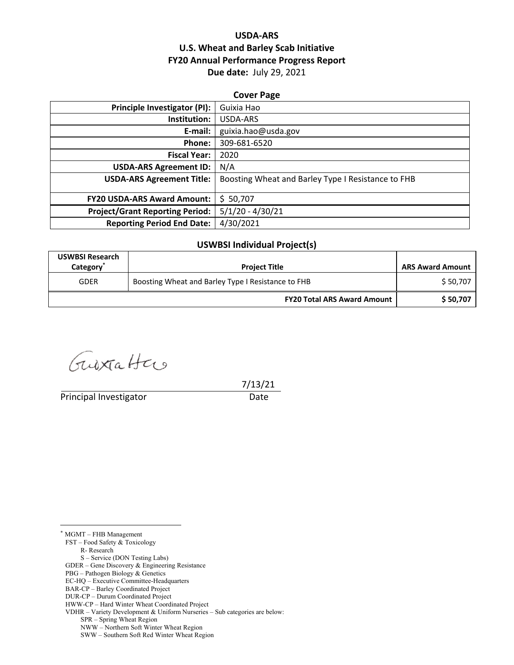## **USDA‐ARS U.S. Wheat and Barley Scab Initiative FY20 Annual Performance Progress Report Due date:** July 29, 2021

| <b>Cover Page</b>                      |                                                    |  |
|----------------------------------------|----------------------------------------------------|--|
| <b>Principle Investigator (PI):</b>    | Guixia Hao                                         |  |
| Institution:                           | USDA-ARS                                           |  |
| E-mail:                                | guixia.hao@usda.gov                                |  |
| Phone:                                 | 309-681-6520                                       |  |
| <b>Fiscal Year:</b>                    | 2020                                               |  |
| <b>USDA-ARS Agreement ID:</b>          | N/A                                                |  |
| <b>USDA-ARS Agreement Title:</b>       | Boosting Wheat and Barley Type I Resistance to FHB |  |
|                                        |                                                    |  |
| <b>FY20 USDA-ARS Award Amount:</b>     | \$50,707                                           |  |
| <b>Project/Grant Reporting Period:</b> | $5/1/20 - 4/30/21$                                 |  |
| <b>Reporting Period End Date:</b>      | 4/30/2021                                          |  |

#### **USWBSI Individual Project(s)**

| <b>USWBSI Research</b><br>Category <sup>®</sup> | <b>Project Title</b>                               | <b>ARS Award Amount</b> |
|-------------------------------------------------|----------------------------------------------------|-------------------------|
| <b>GDER</b>                                     | Boosting Wheat and Barley Type I Resistance to FHB | \$50,707                |
|                                                 | <b>FY20 Total ARS Award Amount</b>                 | \$50,707                |

Guestatter

Principal Investigator **Date** 

7/13/21

 $\overline{a}$ \* MGMT – FHB Management

FST – Food Safety & Toxicology

R- Research

S – Service (DON Testing Labs)

GDER – Gene Discovery & Engineering Resistance

PBG – Pathogen Biology & Genetics

EC-HQ – Executive Committee-Headquarters

BAR-CP – Barley Coordinated Project

DUR-CP – Durum Coordinated Project

HWW-CP – Hard Winter Wheat Coordinated Project

VDHR – Variety Development & Uniform Nurseries – Sub categories are below:

SPR – Spring Wheat Region

NWW – Northern Soft Winter Wheat Region

SWW – Southern Soft Red Winter Wheat Region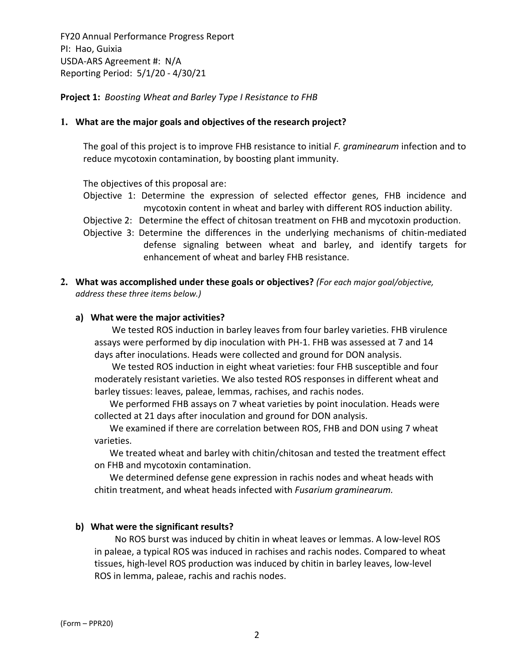**Project 1:** *Boosting Wheat and Barley Type І Resistance to FHB*

### **1. What are the major goals and objectives of the research project?**

The goal of this project is to improve FHB resistance to initial *F. graminearum* infection and to reduce mycotoxin contamination, by boosting plant immunity.

The objectives of this proposal are:

- Objective 1: Determine the expression of selected effector genes, FHB incidence and mycotoxin content in wheat and barley with different ROS induction ability.
- Objective 2: Determine the effect of chitosan treatment on FHB and mycotoxin production.
- Objective 3: Determine the differences in the underlying mechanisms of chitin‐mediated defense signaling between wheat and barley, and identify targets for enhancement of wheat and barley FHB resistance.
- **2. What was accomplished under these goals or objectives?** *(For each major goal/objective, address these three items below.)*

#### **a) What were the major activities?**

We tested ROS induction in barley leaves from four barley varieties. FHB virulence assays were performed by dip inoculation with PH‐1. FHB was assessed at 7 and 14 days after inoculations. Heads were collected and ground for DON analysis.

We tested ROS induction in eight wheat varieties: four FHB susceptible and four moderately resistant varieties. We also tested ROS responses in different wheat and barley tissues: leaves, paleae, lemmas, rachises, and rachis nodes.

We performed FHB assays on 7 wheat varieties by point inoculation. Heads were collected at 21 days after inoculation and ground for DON analysis.

We examined if there are correlation between ROS, FHB and DON using 7 wheat varieties.

We treated wheat and barley with chitin/chitosan and tested the treatment effect on FHB and mycotoxin contamination.

We determined defense gene expression in rachis nodes and wheat heads with chitin treatment, and wheat heads infected with *Fusarium graminearum.*

## **b) What were the significant results?**

 No ROS burst was induced by chitin in wheat leaves or lemmas. A low‐level ROS in paleae, a typical ROS was induced in rachises and rachis nodes. Compared to wheat tissues, high‐level ROS production was induced by chitin in barley leaves, low‐level ROS in lemma, paleae, rachis and rachis nodes.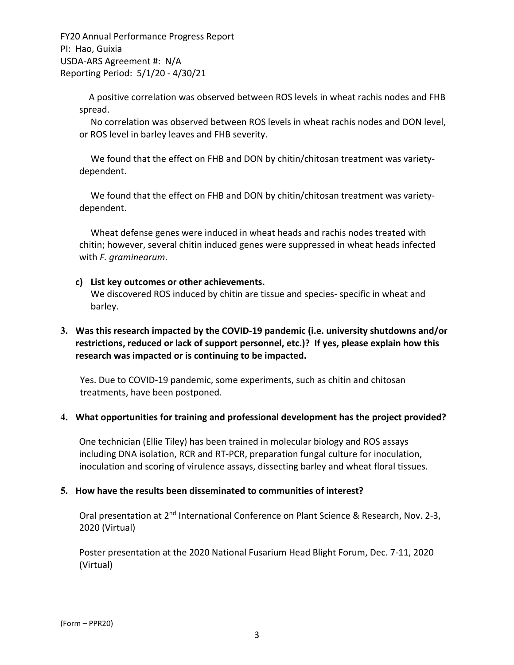> A positive correlation was observed between ROS levels in wheat rachis nodes and FHB spread.

> No correlation was observed between ROS levels in wheat rachis nodes and DON level, or ROS level in barley leaves and FHB severity.

We found that the effect on FHB and DON by chitin/chitosan treatment was varietydependent.

We found that the effect on FHB and DON by chitin/chitosan treatment was varietydependent.

Wheat defense genes were induced in wheat heads and rachis nodes treated with chitin; however, several chitin induced genes were suppressed in wheat heads infected with *F. graminearum*.

### **c) List key outcomes or other achievements.**

We discovered ROS induced by chitin are tissue and species- specific in wheat and barley.

## **3. Was this research impacted by the COVID‐19 pandemic (i.e. university shutdowns and/or restrictions, reduced or lack of support personnel, etc.)? If yes, please explain how this research was impacted or is continuing to be impacted.**

Yes. Due to COVID‐19 pandemic, some experiments, such as chitin and chitosan treatments, have been postponed.

#### **4. What opportunities for training and professional development has the project provided?**

One technician (Ellie Tiley) has been trained in molecular biology and ROS assays including DNA isolation, RCR and RT‐PCR, preparation fungal culture for inoculation, inoculation and scoring of virulence assays, dissecting barley and wheat floral tissues.

#### **5. How have the results been disseminated to communities of interest?**

Oral presentation at 2<sup>nd</sup> International Conference on Plant Science & Research, Nov. 2-3, 2020 (Virtual)

Poster presentation at the 2020 National Fusarium Head Blight Forum, Dec. 7‐11, 2020 (Virtual)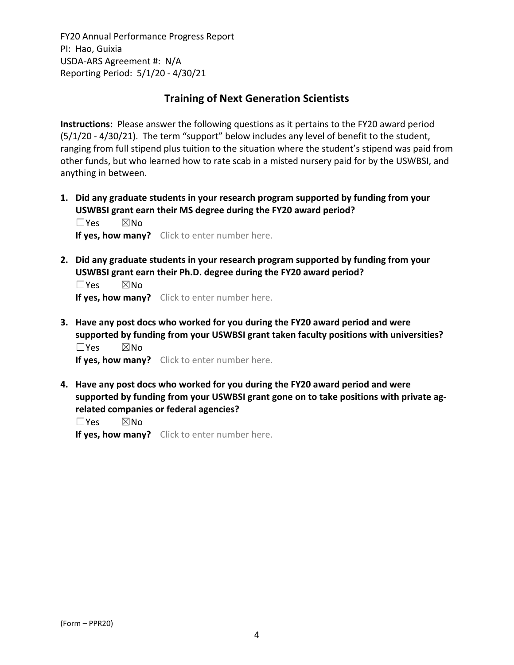## **Training of Next Generation Scientists**

**Instructions:** Please answer the following questions as it pertains to the FY20 award period (5/1/20 ‐ 4/30/21). The term "support" below includes any level of benefit to the student, ranging from full stipend plus tuition to the situation where the student's stipend was paid from other funds, but who learned how to rate scab in a misted nursery paid for by the USWBSI, and anything in between.

**1. Did any graduate students in your research program supported by funding from your USWBSI grant earn their MS degree during the FY20 award period?** ☐Yes ☒No

**If yes, how many?** Click to enter number here.

**2. Did any graduate students in your research program supported by funding from your USWBSI grant earn their Ph.D. degree during the FY20 award period?**

☐Yes ☒No **If yes, how many?** Click to enter number here.

**3. Have any post docs who worked for you during the FY20 award period and were supported by funding from your USWBSI grant taken faculty positions with universities?** ☐Yes ☒No

**If yes, how many?** Click to enter number here.

**4. Have any post docs who worked for you during the FY20 award period and were supported by funding from your USWBSI grant gone on to take positions with private ag‐ related companies or federal agencies?**

☐Yes ☒No

**If yes, how many?** Click to enter number here.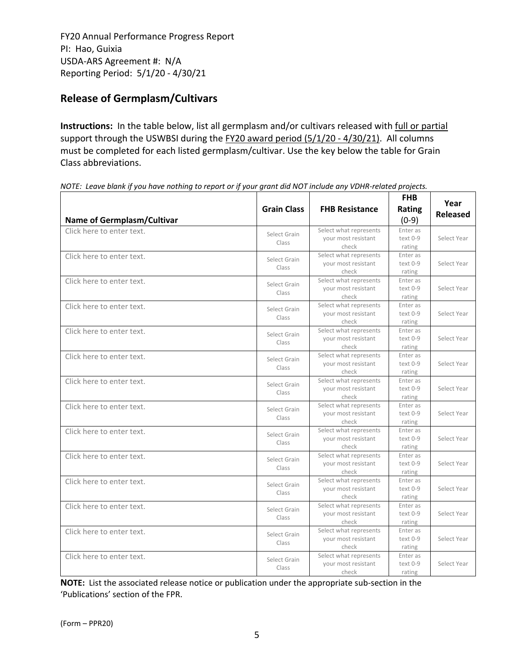# **Release of Germplasm/Cultivars**

**Instructions:** In the table below, list all germplasm and/or cultivars released with full or partial support through the USWBSI during the FY20 award period (5/1/20 - 4/30/21). All columns must be completed for each listed germplasm/cultivar. Use the key below the table for Grain Class abbreviations. 

| <b>Name of Germplasm/Cultivar</b> | <b>Grain Class</b>    | <b>FHB Resistance</b>                                  | <b>FHB</b><br>Rating<br>$(0-9)$ | Year<br><b>Released</b> |
|-----------------------------------|-----------------------|--------------------------------------------------------|---------------------------------|-------------------------|
| Click here to enter text.         | Select Grain<br>Class | Select what represents<br>your most resistant<br>check | Enter as<br>text 0-9<br>rating  | Select Year             |
| Click here to enter text.         | Select Grain<br>Class | Select what represents<br>your most resistant<br>check | Enter as<br>text 0-9<br>rating  | Select Year             |
| Click here to enter text.         | Select Grain<br>Class | Select what represents<br>your most resistant<br>check | Enter as<br>text 0-9<br>rating  | Select Year             |
| Click here to enter text.         | Select Grain<br>Class | Select what represents<br>your most resistant<br>check | Enter as<br>text 0-9<br>rating  | Select Year             |
| Click here to enter text.         | Select Grain<br>Class | Select what represents<br>your most resistant<br>check | Enter as<br>text 0-9<br>rating  | Select Year             |
| Click here to enter text.         | Select Grain<br>Class | Select what represents<br>your most resistant<br>check | Enter as<br>text 0-9<br>rating  | Select Year             |
| Click here to enter text.         | Select Grain<br>Class | Select what represents<br>your most resistant<br>check | Enter as<br>text 0-9<br>rating  | Select Year             |
| Click here to enter text.         | Select Grain<br>Class | Select what represents<br>your most resistant<br>check | Enter as<br>text 0-9<br>rating  | Select Year             |
| Click here to enter text.         | Select Grain<br>Class | Select what represents<br>your most resistant<br>check | Enter as<br>text 0-9<br>rating  | Select Year             |
| Click here to enter text.         | Select Grain<br>Class | Select what represents<br>your most resistant<br>check | Enter as<br>text 0-9<br>rating  | Select Year             |
| Click here to enter text.         | Select Grain<br>Class | Select what represents<br>your most resistant<br>check | Enter as<br>text 0-9<br>rating  | Select Year             |
| Click here to enter text.         | Select Grain<br>Class | Select what represents<br>your most resistant<br>check | Enter as<br>text 0-9<br>rating  | Select Year             |
| Click here to enter text.         | Select Grain<br>Class | Select what represents<br>your most resistant<br>check | Enter as<br>text 0-9<br>rating  | Select Year             |
| Click here to enter text.         | Select Grain<br>Class | Select what represents<br>your most resistant<br>check | Enter as<br>text 0-9<br>rating  | Select Year             |

NOTE: Leave blank if you have nothing to report or if your grant did NOT include any VDHR-related projects.

**NOTE:** List the associated release notice or publication under the appropriate sub-section in the 'Publications' section of the FPR.